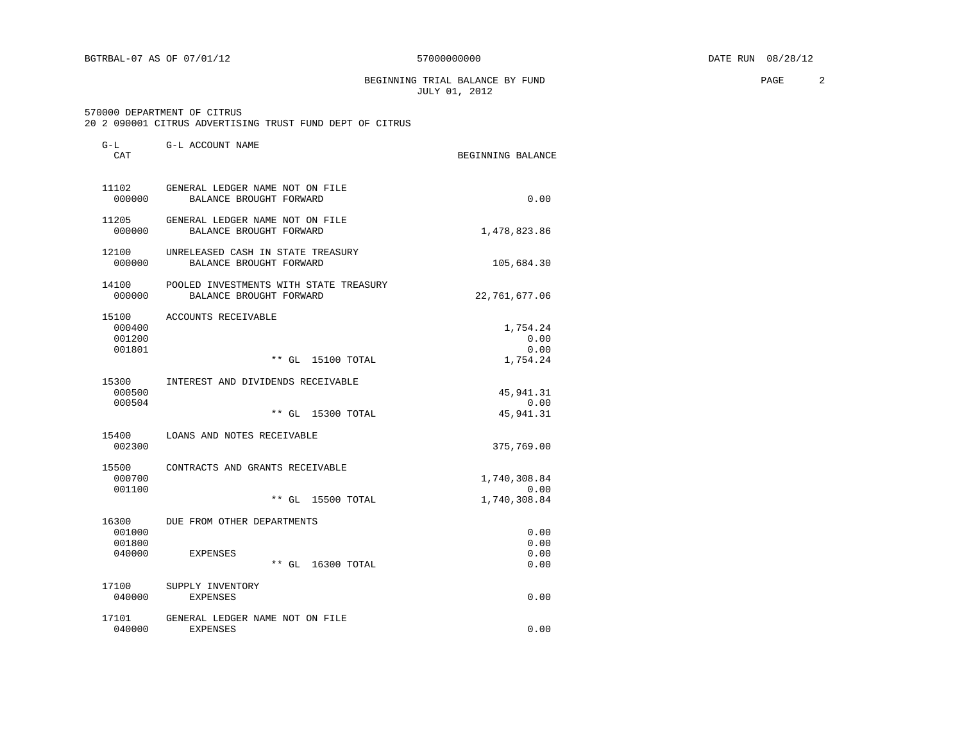BEGINNING TRIAL BALANCE BY FUND **PAGE** 2 JULY 01, 2012

|  |  |  |  | 20 2 090001 CITRUS ADVERTISING TRUST FUND DEPT OF CITRUS |  |  |  |  |  |
|--|--|--|--|----------------------------------------------------------|--|--|--|--|--|
|--|--|--|--|----------------------------------------------------------|--|--|--|--|--|

| G-L<br>CAT                          | G-L ACCOUNT NAME                                                  | BEGINNING BALANCE                    |
|-------------------------------------|-------------------------------------------------------------------|--------------------------------------|
| 11102<br>000000                     | GENERAL LEDGER NAME NOT ON FILE<br>BALANCE BROUGHT FORWARD        | 0.00                                 |
| 11205<br>000000                     | GENERAL LEDGER NAME NOT ON FILE<br>BALANCE BROUGHT FORWARD        | 1,478,823.86                         |
| 12100<br>000000                     | UNRELEASED CASH IN STATE TREASURY<br>BALANCE BROUGHT FORWARD      | 105,684.30                           |
| 14100<br>000000                     | POOLED INVESTMENTS WITH STATE TREASURY<br>BALANCE BROUGHT FORWARD | 22,761,677.06                        |
| 15100<br>000400<br>001200<br>001801 | ACCOUNTS RECEIVABLE<br>** GL 15100 TOTAL                          | 1,754.24<br>0.00<br>0.00<br>1,754.24 |
| 15300<br>000500<br>000504           | INTEREST AND DIVIDENDS RECEIVABLE<br>15300 TOTAL<br>$**$ GL       | 45,941.31<br>0.00<br>45, 941.31      |
| 15400<br>002300                     | LOANS AND NOTES RECEIVABLE                                        | 375,769.00                           |
| 15500<br>000700<br>001100           | CONTRACTS AND GRANTS RECEIVABLE<br>$**$ GL<br>15500 TOTAL         | 1,740,308.84<br>0.00<br>1,740,308.84 |
| 16300<br>001000<br>001800<br>040000 | DUE FROM OTHER DEPARTMENTS<br>EXPENSES<br>$**$ GL<br>16300 TOTAL  | 0.00<br>0.00<br>0.00<br>0.00         |
| 17100<br>040000                     | SUPPLY INVENTORY<br><b>EXPENSES</b>                               | 0.00                                 |
| 17101<br>040000                     | GENERAL LEDGER NAME NOT ON FILE<br><b>EXPENSES</b>                | 0.00                                 |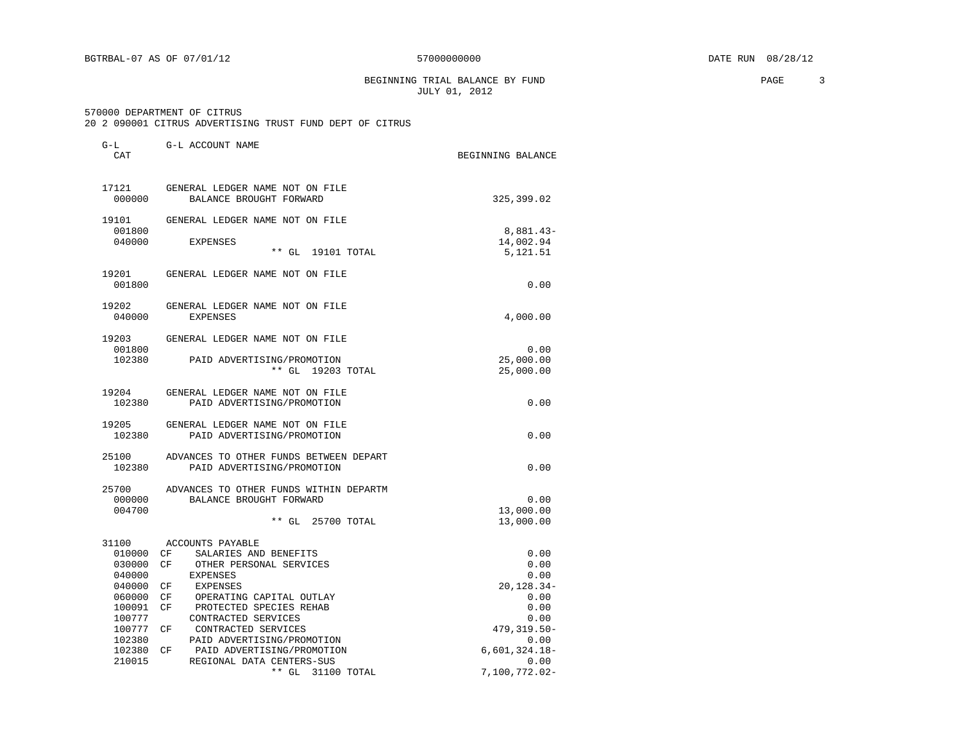BEGINNING TRIAL BALANCE BY FUND **PAGE** 3 JULY 01, 2012

|  |  |  |  | 20 2 090001 CITRUS ADVERTISING TRUST FUND DEPT OF CITRUS |  |  |  |  |  |
|--|--|--|--|----------------------------------------------------------|--|--|--|--|--|
|--|--|--|--|----------------------------------------------------------|--|--|--|--|--|

| G-L<br>CAT       | G-L ACCOUNT NAME                                           | BEGINNING BALANCE        |
|------------------|------------------------------------------------------------|--------------------------|
| 17121<br>000000  | GENERAL LEDGER NAME NOT ON FILE<br>BALANCE BROUGHT FORWARD | 325,399.02               |
| 19101            | GENERAL LEDGER NAME NOT ON FILE                            |                          |
| 001800<br>040000 | EXPENSES                                                   | $8,881.43-$<br>14,002.94 |
|                  | $**$ GL<br>19101 TOTAL                                     | 5,121.51                 |
| 19201            | GENERAL LEDGER NAME NOT ON FILE                            |                          |
| 001800           |                                                            | 0.00                     |
| 19202            | GENERAL LEDGER NAME NOT ON FILE                            |                          |
| 040000           | <b>EXPENSES</b>                                            | 4,000.00                 |
| 19203            | GENERAL LEDGER NAME NOT ON FILE                            |                          |
| 001800           |                                                            | 0.00                     |
| 102380           | PAID ADVERTISING/PROMOTION<br>** GL 19203 TOTAL            | 25,000.00<br>25,000.00   |
|                  |                                                            |                          |
| 19204            | GENERAL LEDGER NAME NOT ON FILE                            |                          |
| 102380           | PAID ADVERTISING/PROMOTION                                 | 0.00                     |
| 19205            | GENERAL LEDGER NAME NOT ON FILE                            |                          |
| 102380           | PAID ADVERTISING/PROMOTION                                 | 0.00                     |
| 25100            | ADVANCES TO OTHER FUNDS BETWEEN DEPART                     |                          |
| 102380           | PAID ADVERTISING/PROMOTION                                 | 0.00                     |
| 25700            | ADVANCES TO OTHER FUNDS WITHIN DEPARTM                     |                          |
| 000000           | BALANCE BROUGHT FORWARD                                    | 0.00                     |
| 004700           |                                                            | 13,000.00                |
|                  | ** GL 25700 TOTAL                                          | 13,000.00                |
| 31100            | ACCOUNTS PAYABLE                                           |                          |
| 010000 CF        | SALARIES AND BENEFITS                                      | 0.00                     |
| 030000           | CF<br>OTHER PERSONAL SERVICES                              | 0.00                     |
| 040000           | <b>EXPENSES</b>                                            | 0.00                     |
| 040000<br>060000 | CF<br>EXPENSES<br>CF<br>OPERATING CAPITAL OUTLAY           | 20,128.34-<br>0.00       |
| 100091           | PROTECTED SPECIES REHAB<br>CF                              | 0.00                     |
| 100777           | CONTRACTED SERVICES                                        | 0.00                     |
| 100777           | CF<br>CONTRACTED SERVICES                                  | 479,319.50-              |
| 102380           | PAID ADVERTISING/PROMOTION                                 | 0.00                     |
| 102380           | CF<br>PAID ADVERTISING/PROMOTION                           | $6,601,324.18-$          |
| 210015           | REGIONAL DATA CENTERS-SUS                                  | 0.00                     |
|                  | ** GL 31100 TOTAL                                          | 7,100,772.02-            |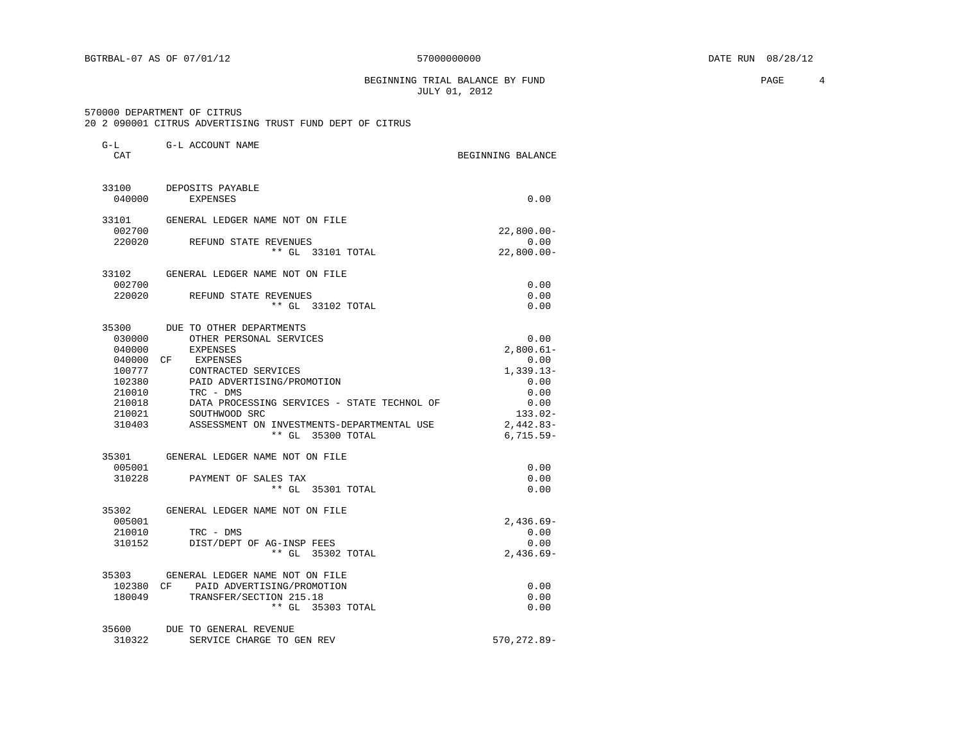BEGINNING TRIAL BALANCE BY FUND **EXAMPLE 1** PAGE 4 JULY 01, 2012

#### 570000 DEPARTMENT OF CITRUS

G-L G-L ACCOUNT NAME

20 2 090001 CITRUS ADVERTISING TRUST FUND DEPT OF CITRUS

| CAT       |                                             | BEGINNING BALANCE |
|-----------|---------------------------------------------|-------------------|
| 33100     | DEPOSITS PAYABLE                            |                   |
| 040000    | <b>EXPENSES</b>                             | 0.00              |
| 33101     | GENERAL LEDGER NAME NOT ON FILE             |                   |
| 002700    |                                             | $22,800.00 -$     |
| 220020    | REFUND STATE REVENUES                       | 0.00              |
|           | ** GL 33101 TOTAL                           | $22,800.00 -$     |
| 33102     | GENERAL LEDGER NAME NOT ON FILE             |                   |
| 002700    |                                             | 0.00              |
| 220020    | REFUND STATE REVENUES                       | 0.00              |
|           | ** GL 33102 TOTAL                           | 0.00              |
| 35300     | DUE TO OTHER DEPARTMENTS                    |                   |
| 030000    | OTHER PERSONAL SERVICES                     | 0.00              |
| 040000    | <b>EXPENSES</b>                             | $2,800.61-$       |
| 040000    | EXPENSES<br>CF.                             | 0.00              |
| 100777    | CONTRACTED SERVICES                         | $1,339.13-$       |
| 102380    | PAID ADVERTISING/PROMOTION                  | 0.00              |
| 210010    | TRC - DMS                                   | 0.00              |
| 210018    | DATA PROCESSING SERVICES - STATE TECHNOL OF | 0.00              |
| 210021    | SOUTHWOOD SRC                               | $133.02 -$        |
| 310403    | ASSESSMENT ON INVESTMENTS-DEPARTMENTAL USE  | $2,442.83-$       |
|           | ** GL 35300 TOTAL                           | $6,715.59-$       |
| 35301     | GENERAL LEDGER NAME NOT ON FILE             |                   |
| 005001    |                                             | 0.00              |
| 310228    | PAYMENT OF SALES TAX                        | 0.00              |
|           | $**$ GL<br>35301 TOTAL                      | 0.00              |
| 35302     | GENERAL LEDGER NAME NOT ON FILE             |                   |
| 005001    |                                             | $2,436.69-$       |
| 210010    | $TRC - DMS$                                 | 0.00              |
| 310152    | DIST/DEPT OF AG-INSP FEES                   | 0.00              |
|           | ** GL 35302 TOTAL                           | $2,436.69-$       |
| 35303     | GENERAL LEDGER NAME NOT ON FILE             |                   |
| 102380 CF | PAID ADVERTISING/PROMOTION                  | 0.00              |
| 180049    | TRANSFER/SECTION 215.18                     | 0.00              |
|           | ** GL 35303 TOTAL                           | 0.00              |
| 35600     | DUE TO GENERAL REVENUE                      |                   |
| 310322    | SERVICE CHARGE TO GEN REV                   | 570, 272.89-      |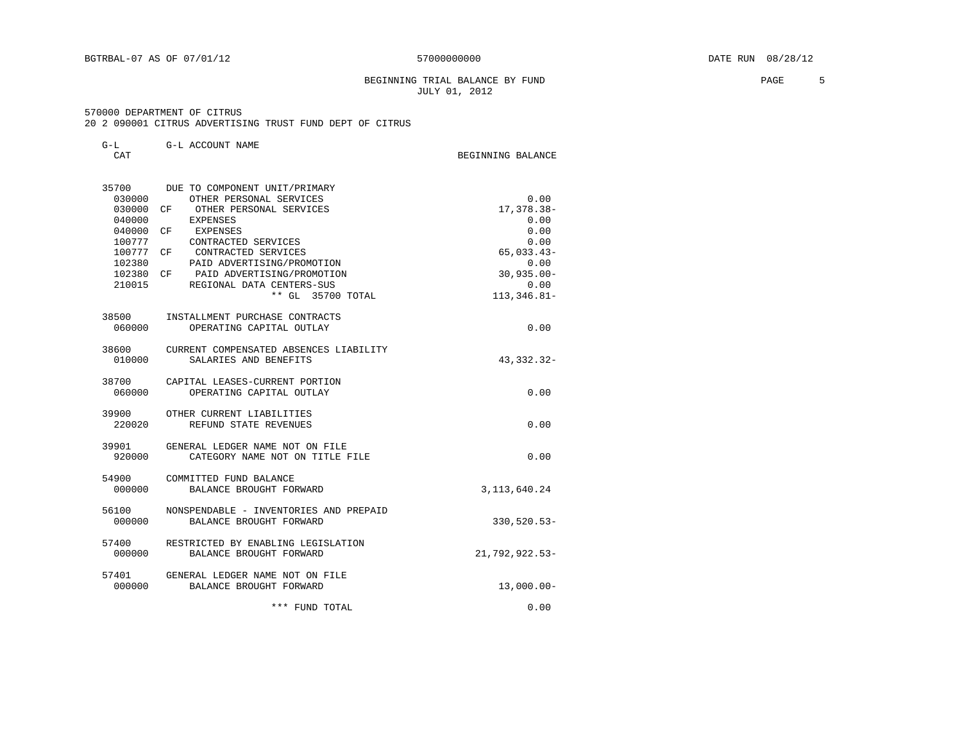#### BEGINNING TRIAL BALANCE BY FUND **PAGE** 5 JULY 01, 2012

#### 570000 DEPARTMENT OF CITRUS

20 2 090001 CITRUS ADVERTISING TRUST FUND DEPT OF CITRUS

| G-L<br>CAT | G-L ACCOUNT NAME                         | BEGINNING BALANCE |
|------------|------------------------------------------|-------------------|
|            | 35700 DUE TO COMPONENT UNIT/PRIMARY      |                   |
| 0.30000    | OTHER PERSONAL SERVICES                  | 0.00              |
| 030000     | CF OTHER PERSONAL SERVICES               | 17, 378.38-       |
| 040000     | EXPENSES                                 | 0.00              |
| 040000     | CF<br>EXPENSES                           | 0.00              |
| 100777     | CONTRACTED SERVICES                      | 0.00              |
| 100777 CF  | CONTRACTED SERVICES                      | $65,033.43-$      |
| 102380     | PAID ADVERTISING/PROMOTION               | 0.00              |
|            | 102380 CF PAID ADVERTISING/PROMOTION     | $30,935.00 -$     |
|            | 210015 REGIONAL DATA CENTERS-SUS         | 0.00              |
|            | ** GL 35700 TOTAL                        | $113,346.81-$     |
|            | 38500 INSTALLMENT PURCHASE CONTRACTS     |                   |
| 060000     | OPERATING CAPITAL OUTLAY                 | 0.00              |
| 38600      | CURRENT COMPENSATED ABSENCES LIABILITY   |                   |
| 010000     | SALARIES AND BENEFITS                    | 43, 332. 32-      |
|            | 38700 CAPITAL LEASES-CURRENT PORTION     |                   |
| 060000     | OPERATING CAPITAL OUTLAY                 | 0.00              |
| 39900      | OTHER CURRENT LIABILITIES                |                   |
| 220020     | REFUND STATE REVENUES                    | 0.00              |
| 39901      | GENERAL LEDGER NAME NOT ON FILE          |                   |
| 920000     | CATEGORY NAME NOT ON TITLE FILE          | 0.00              |
|            | 54900 COMMITTED FUND BALANCE             |                   |
| 000000     | BALANCE BROUGHT FORWARD                  | 3, 113, 640. 24   |
| 56100      | NONSPENDABLE - INVENTORIES AND PREPAID   |                   |
| 000000     | BALANCE BROUGHT FORWARD                  | 330,520.53-       |
|            | 57400 RESTRICTED BY ENABLING LEGISLATION |                   |
| 000000     | BALANCE BROUGHT FORWARD                  | 21,792,922.53-    |
| 57401      | GENERAL LEDGER NAME NOT ON FILE          |                   |
| 000000     | BALANCE BROUGHT FORWARD                  | $13,000.00 -$     |
|            | *** FUND TOTAL                           | 0.00              |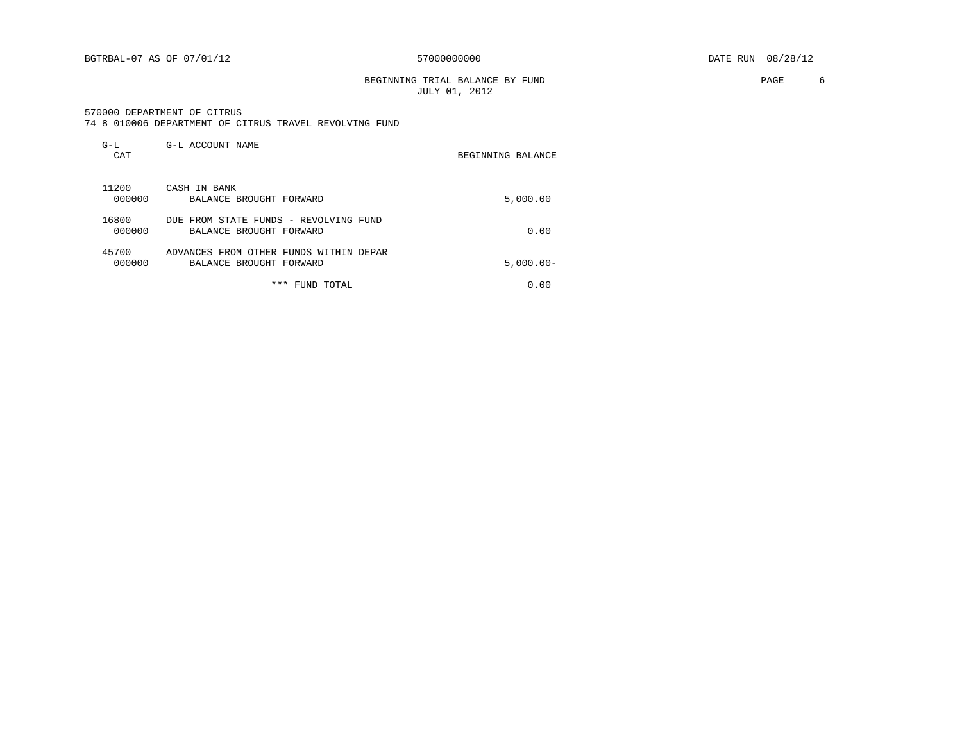BEGINNING TRIAL BALANCE BY FUND **EXAMPLE 1999** PAGE 6 JULY 01, 2012

 570000 DEPARTMENT OF CITRUS 74 8 010006 DEPARTMENT OF CITRUS TRAVEL REVOLVING FUND

| $G-L$<br>CAT    | G-L ACCOUNT NAME                                                  | BEGINNING BALANCE |
|-----------------|-------------------------------------------------------------------|-------------------|
| 11200<br>000000 | CASH IN BANK<br>BALANCE BROUGHT FORWARD                           | 5,000.00          |
| 16800<br>000000 | DUE FROM STATE FUNDS - REVOLVING FUND<br>BALANCE BROUGHT FORWARD  | 0.00              |
| 45700<br>000000 | ADVANCES FROM OTHER FUNDS WITHIN DEPAR<br>BALANCE BROUGHT FORWARD | $5,000.00 -$      |

\*\*\* FUND TOTAL 0.00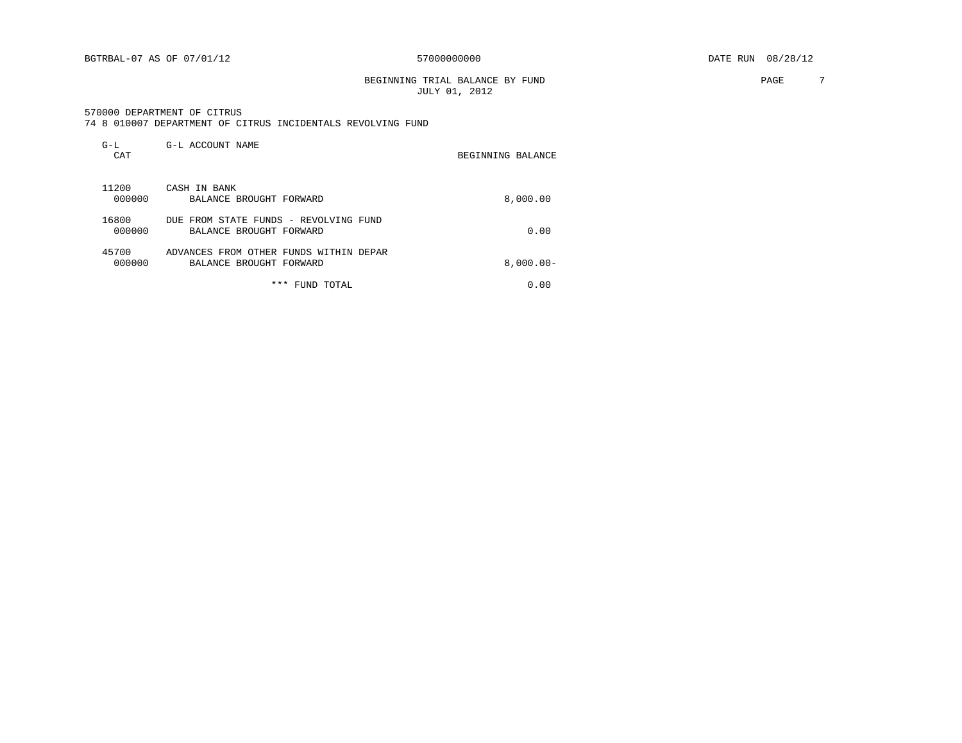BEGINNING TRIAL BALANCE BY FUND **PAGE** 7 JULY 01, 2012

|  |  |  |  |  |  | 74 8 010007 DEPARTMENT OF CITRUS INCIDENTALS REVOLVING FUND |  |  |
|--|--|--|--|--|--|-------------------------------------------------------------|--|--|
|--|--|--|--|--|--|-------------------------------------------------------------|--|--|

| $G-L$<br>CAT    | G-L ACCOUNT NAME                                                  | BEGINNING BALANCE |
|-----------------|-------------------------------------------------------------------|-------------------|
| 11200<br>000000 | CASH IN BANK<br>BALANCE BROUGHT FORWARD                           | 8,000.00          |
| 16800<br>000000 | DUE FROM STATE FUNDS - REVOLVING FUND<br>BALANCE BROUGHT FORWARD  | 0.00              |
| 45700<br>000000 | ADVANCES FROM OTHER FUNDS WITHIN DEPAR<br>BALANCE BROUGHT FORWARD | $8,000.00 -$      |
|                 | ***<br>FUND TOTAL                                                 | 0.00              |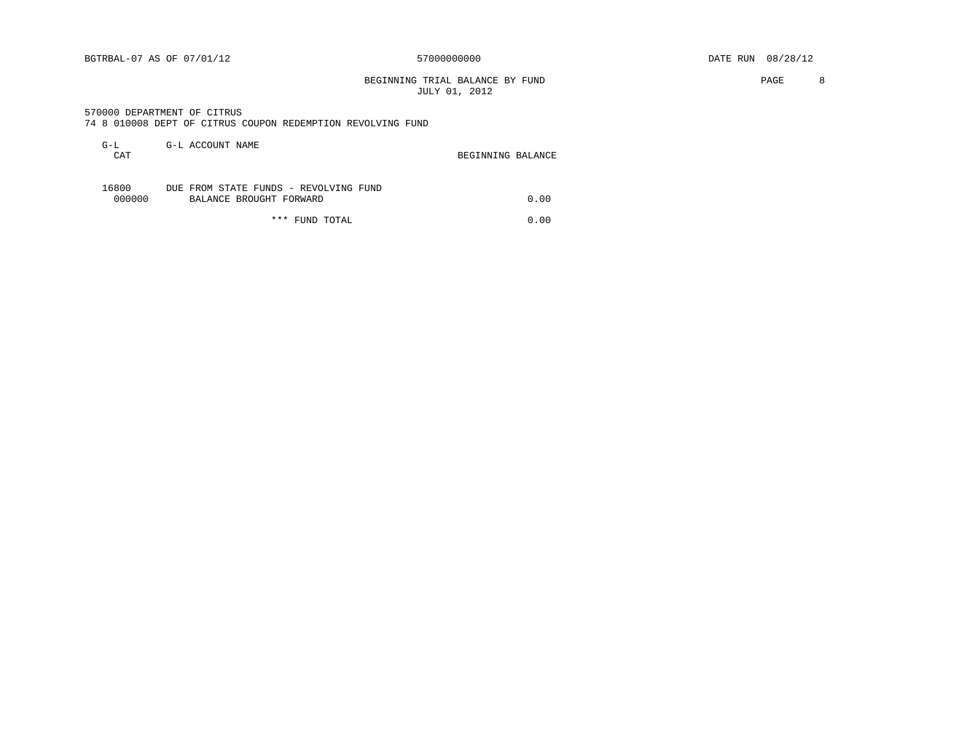BEGINNING TRIAL BALANCE BY FUND **PAGE** 8 JULY 01, 2012

570000 DEPARTMENT OF CITRUS

|  |  |  |  |  |  |  | 74 8 010008 DEPT OF CITRUS COUPON REDEMPTION REVOLVING FUND |  |  |
|--|--|--|--|--|--|--|-------------------------------------------------------------|--|--|
|--|--|--|--|--|--|--|-------------------------------------------------------------|--|--|

| G-L<br><b>CAT</b> | G-L ACCOUNT NAME                                                 | BEGINNING BALANCE |      |
|-------------------|------------------------------------------------------------------|-------------------|------|
| 16800<br>000000   | DUE FROM STATE FUNDS - REVOLVING FUND<br>BALANCE BROUGHT FORWARD |                   | 0.00 |

\*\*\* FUND TOTAL 0.00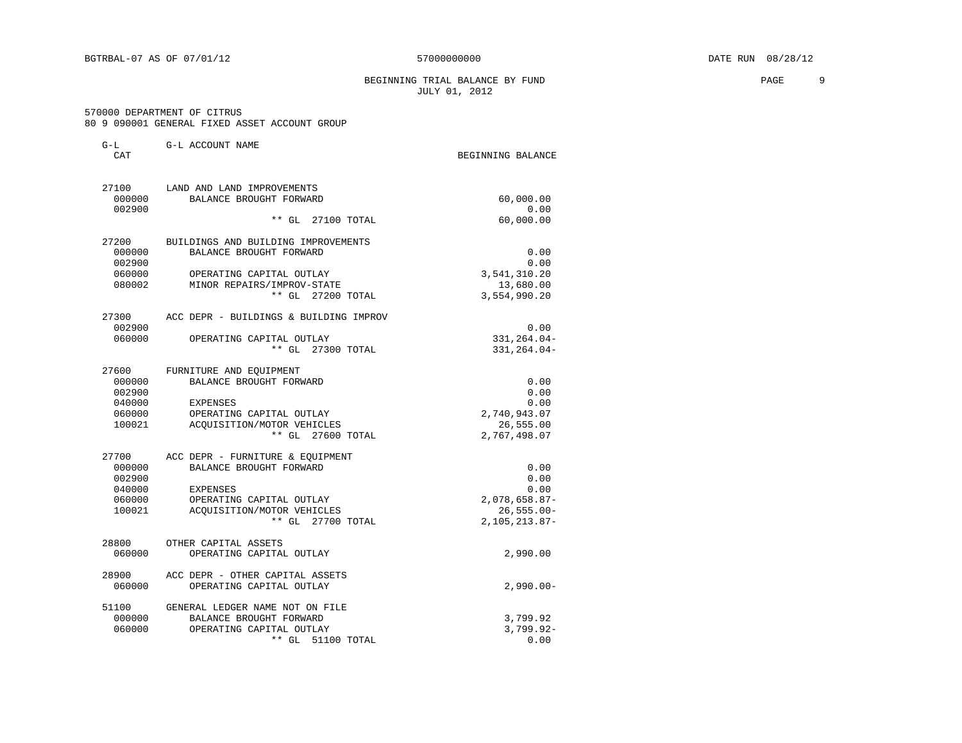#### BEGINNING TRIAL BALANCE BY FUND PAGE 9 JULY 01, 2012

|  |  | 570000 DEPARTMENT OF CITRUS |  |                                               |  |
|--|--|-----------------------------|--|-----------------------------------------------|--|
|  |  |                             |  | 80 9 090001 GENERAL FIXED ASSET ACCOUNT GROUP |  |

| G-L    | G-L ACCOUNT NAME                                              |                              |
|--------|---------------------------------------------------------------|------------------------------|
| CAT    |                                                               | BEGINNING BALANCE            |
| 27100  | LAND AND LAND IMPROVEMENTS                                    |                              |
| 000000 | BALANCE BROUGHT FORWARD                                       | 60,000.00                    |
| 002900 |                                                               | 0.00                         |
|        | ** GL 27100 TOTAL                                             | 60,000.00                    |
| 27200  | BUILDINGS AND BUILDING IMPROVEMENTS                           |                              |
| 000000 | BALANCE BROUGHT FORWARD                                       | 0.00                         |
| 002900 |                                                               | 0.00                         |
| 060000 | OPERATING CAPITAL OUTLAY<br>080002 MINOR REPAIRS/IMPROV-STATE | 3,541,310.20                 |
|        |                                                               | 13,680.00                    |
|        | ** GL 27200 TOTAL                                             | 3,554,990.20                 |
|        | 27300 ACC DEPR - BUILDINGS & BUILDING IMPROV                  |                              |
| 002900 |                                                               | 0.00                         |
| 060000 | OPERATING CAPITAL OUTLAY<br>** GL 27300 TOTAL                 | 331, 264.04-<br>331, 264.04- |
|        |                                                               |                              |
| 27600  | FURNITURE AND EQUIPMENT                                       |                              |
| 000000 | BALANCE BROUGHT FORWARD                                       | 0.00                         |
| 002900 |                                                               | 0.00                         |
| 040000 | EXPENSES                                                      | 0.00                         |
| 060000 | OPERATING CAPITAL OUTLAY                                      | 2,740,943.07                 |
| 100021 | ACQUISITION/MOTOR VEHICLES                                    | 26,555.00                    |
|        | ** GL 27600 TOTAL                                             | 2,767,498.07                 |
| 27700  | ACC DEPR - FURNITURE & EQUIPMENT                              |                              |
| 000000 | BALANCE BROUGHT FORWARD                                       | 0.00                         |
| 002900 |                                                               | 0.00                         |
| 040000 | EXPENSES                                                      | 0.00                         |
| 060000 | OPERATING CAPITAL OUTLAY                                      | 2,078,658.87-                |
| 100021 | ACOUISITION/MOTOR VEHICLES<br>** GL 27700 TOTAL               | $26,555.00 -$                |
|        |                                                               | 2, 105, 213.87-              |
| 28800  | OTHER CAPITAL ASSETS                                          |                              |
| 060000 | OPERATING CAPITAL OUTLAY                                      | 2,990.00                     |
| 28900  | ACC DEPR - OTHER CAPITAL ASSETS                               |                              |
| 060000 | OPERATING CAPITAL OUTLAY                                      | $2,990.00 -$                 |
| 51100  | GENERAL LEDGER NAME NOT ON FILE                               |                              |
| 000000 | BALANCE BROUGHT FORWARD                                       | 3,799.92                     |
| 060000 | OPERATING CAPITAL OUTLAY                                      | $3,799.92 -$                 |
|        | $**$ GL<br>51100 TOTAL                                        | 0.00                         |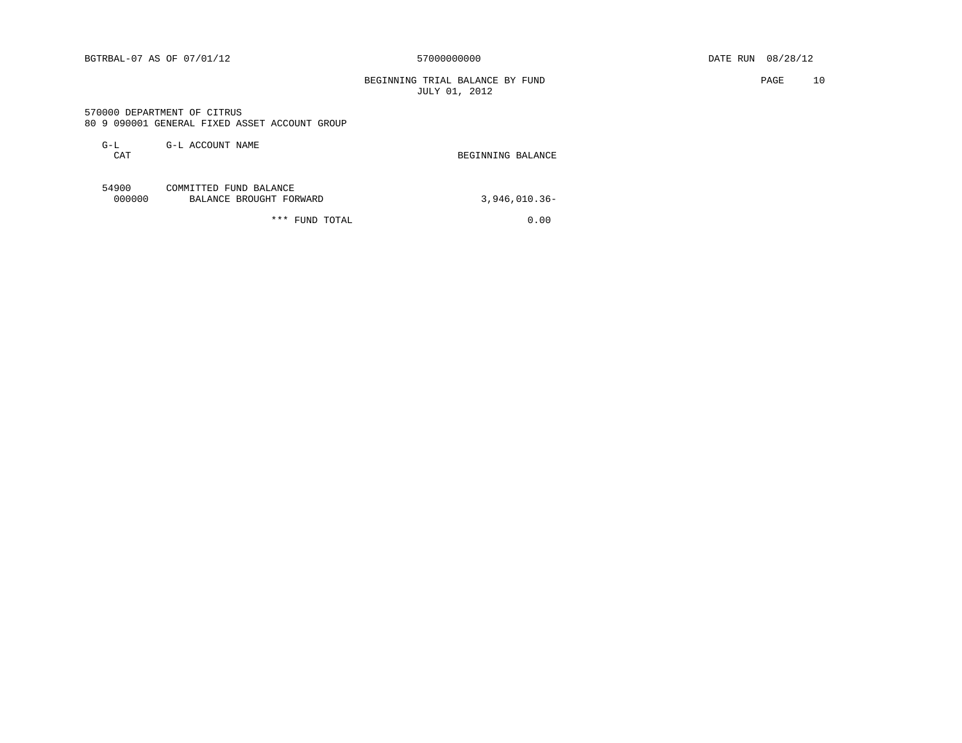BEGINNING TRIAL BALANCE BY FUND **PAGE** 10 JULY 01, 2012

 570000 DEPARTMENT OF CITRUS 80 9 090001 GENERAL FIXED ASSET ACCOUNT GROUP

| G-L | G-L ACCOUNT NAME |                   |
|-----|------------------|-------------------|
| CAT |                  | BEGINNING BALANCE |
|     |                  |                   |
|     |                  |                   |

| 54900  | COMMITTED FUND BALANCE  |               |
|--------|-------------------------|---------------|
| 000000 | BALANCE BROUGHT FORWARD | 3,946,010.36- |
|        |                         |               |

\*\*\* FUND TOTAL 0.00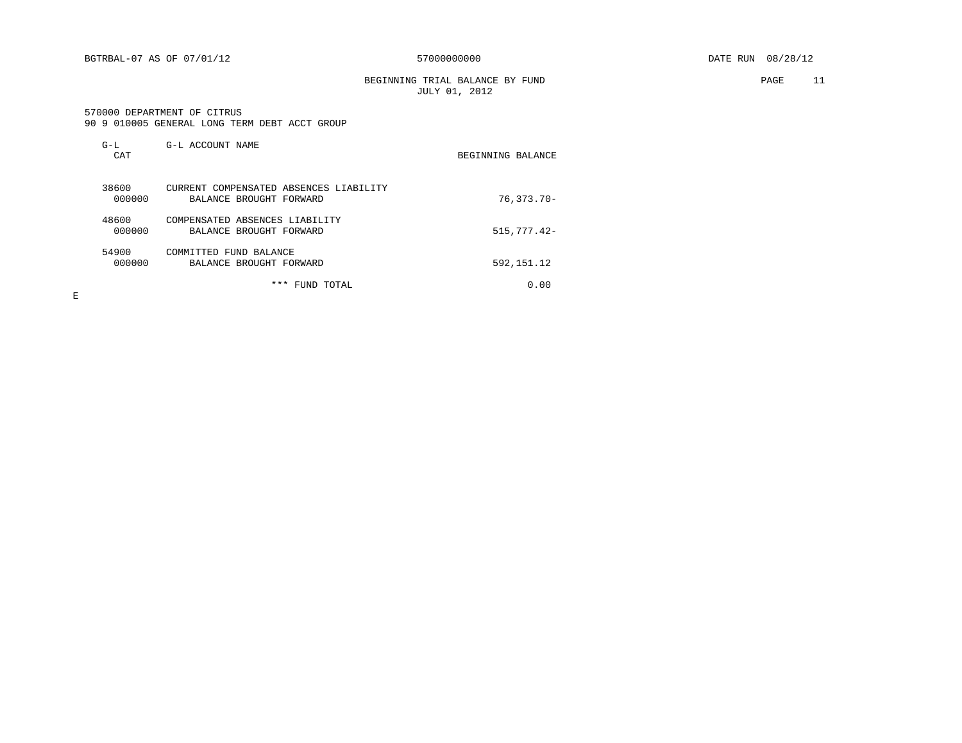BEGINNING TRIAL BALANCE BY FUND PAGE 11 JULY 01, 2012

#### 570000 DEPARTMENT OF CITRUS 90 9 010005 GENERAL LONG TERM DEBT ACCT GROUP

| $G-L$<br>CAT    | G-L ACCOUNT NAME                                                  | BEGINNING BALANCE |
|-----------------|-------------------------------------------------------------------|-------------------|
| 38600<br>000000 | CURRENT COMPENSATED ABSENCES LIABILITY<br>BALANCE BROUGHT FORWARD | $76, 373.70 -$    |
| 48600<br>000000 | COMPENSATED ABSENCES LIABILITY<br>BALANCE BROUGHT FORWARD         | $515,777.42-$     |
| 54900<br>000000 | COMMITTED FUND BALANCE<br>BALANCE BROUGHT FORWARD                 | 592, 151. 12      |
|                 | ***<br>TOTAL<br>FUND                                              | 0.00              |

 $\mathbf E$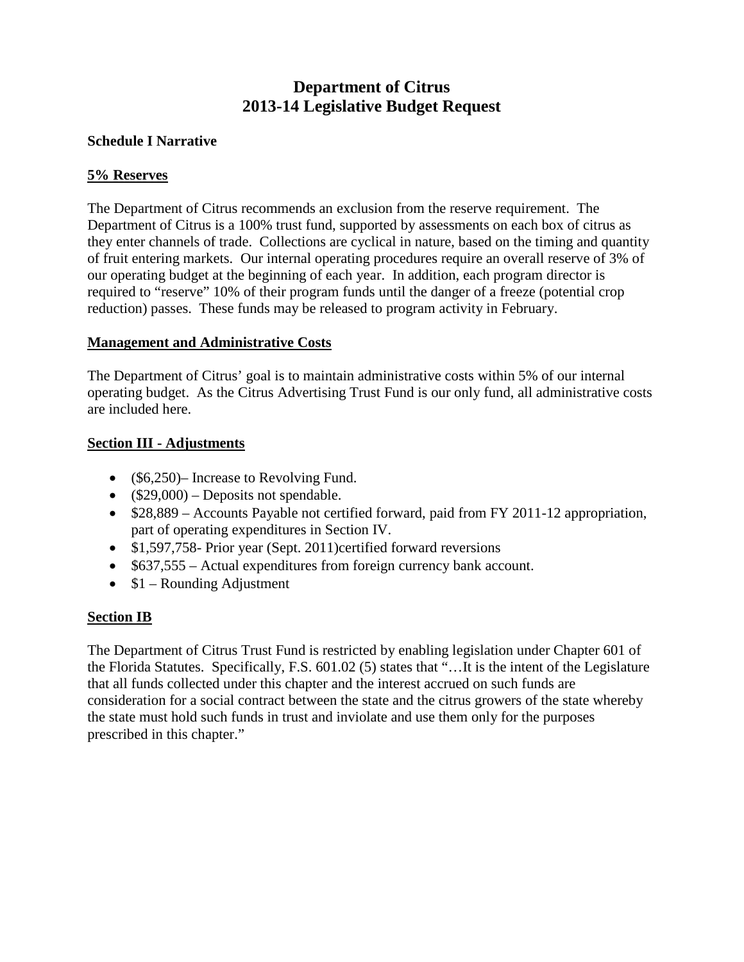# **Department of Citrus 2013-14 Legislative Budget Request**

## **Schedule I Narrative**

## **5% Reserves**

The Department of Citrus recommends an exclusion from the reserve requirement. The Department of Citrus is a 100% trust fund, supported by assessments on each box of citrus as they enter channels of trade. Collections are cyclical in nature, based on the timing and quantity of fruit entering markets. Our internal operating procedures require an overall reserve of 3% of our operating budget at the beginning of each year. In addition, each program director is required to "reserve" 10% of their program funds until the danger of a freeze (potential crop reduction) passes. These funds may be released to program activity in February.

## **Management and Administrative Costs**

The Department of Citrus' goal is to maintain administrative costs within 5% of our internal operating budget. As the Citrus Advertising Trust Fund is our only fund, all administrative costs are included here.

## **Section III - Adjustments**

- (\$6,250)– Increase to Revolving Fund.
- $(\$29,000)$  Deposits not spendable.
- \$28,889 Accounts Payable not certified forward, paid from FY 2011-12 appropriation, part of operating expenditures in Section IV.
- \$1,597,758- Prior year (Sept. 2011) certified forward reversions
- \$637,555 Actual expenditures from foreign currency bank account.
- $$1 Rounding$  Adjustment

## **Section IB**

The Department of Citrus Trust Fund is restricted by enabling legislation under Chapter 601 of the Florida Statutes. Specifically, F.S. 601.02 (5) states that "…It is the intent of the Legislature that all funds collected under this chapter and the interest accrued on such funds are consideration for a social contract between the state and the citrus growers of the state whereby the state must hold such funds in trust and inviolate and use them only for the purposes prescribed in this chapter."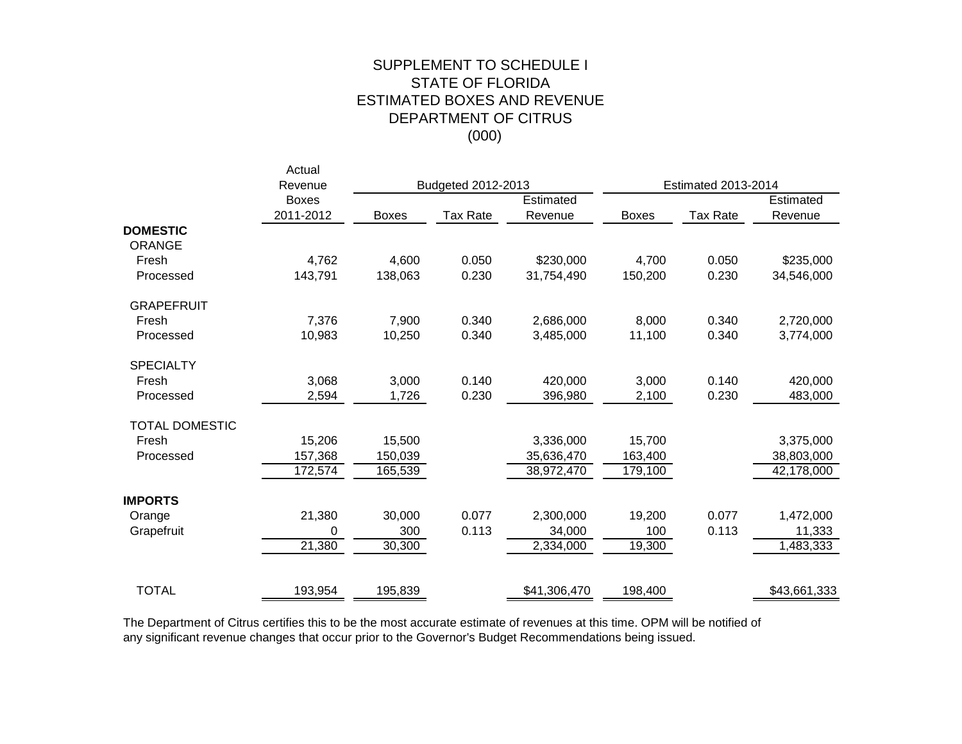## (000) SUPPLEMENT TO SCHEDULE I STATE OF FLORIDA ESTIMATED BOXES AND REVENUE DEPARTMENT OF CITRUS

|                       | Actual<br>Revenue |              | Budgeted 2012-2013 |              |              | <b>Estimated 2013-2014</b> |              |
|-----------------------|-------------------|--------------|--------------------|--------------|--------------|----------------------------|--------------|
|                       | <b>Boxes</b>      |              |                    | Estimated    |              |                            | Estimated    |
|                       | 2011-2012         | <b>Boxes</b> | <b>Tax Rate</b>    | Revenue      | <b>Boxes</b> | <b>Tax Rate</b>            | Revenue      |
| <b>DOMESTIC</b>       |                   |              |                    |              |              |                            |              |
| <b>ORANGE</b>         |                   |              |                    |              |              |                            |              |
| Fresh                 | 4,762             | 4,600        | 0.050              | \$230,000    | 4,700        | 0.050                      | \$235,000    |
| Processed             | 143,791           | 138,063      | 0.230              | 31,754,490   | 150,200      | 0.230                      | 34,546,000   |
| <b>GRAPEFRUIT</b>     |                   |              |                    |              |              |                            |              |
| Fresh                 | 7,376             | 7,900        | 0.340              | 2,686,000    | 8,000        | 0.340                      | 2,720,000    |
| Processed             | 10,983            | 10,250       | 0.340              | 3,485,000    | 11,100       | 0.340                      | 3,774,000    |
| <b>SPECIALTY</b>      |                   |              |                    |              |              |                            |              |
| Fresh                 | 3,068             | 3,000        | 0.140              | 420,000      | 3,000        | 0.140                      | 420,000      |
| Processed             | 2,594             | 1,726        | 0.230              | 396,980      | 2,100        | 0.230                      | 483,000      |
| <b>TOTAL DOMESTIC</b> |                   |              |                    |              |              |                            |              |
| Fresh                 | 15,206            | 15,500       |                    | 3,336,000    | 15,700       |                            | 3,375,000    |
| Processed             | 157,368           | 150,039      |                    | 35,636,470   | 163,400      |                            | 38,803,000   |
|                       | 172,574           | 165,539      |                    | 38,972,470   | 179,100      |                            | 42,178,000   |
| <b>IMPORTS</b>        |                   |              |                    |              |              |                            |              |
| Orange                | 21,380            | 30,000       | 0.077              | 2,300,000    | 19,200       | 0.077                      | 1,472,000    |
| Grapefruit            | 0                 | 300          | 0.113              | 34,000       | 100          | 0.113                      | 11,333       |
|                       | 21,380            | 30,300       |                    | 2,334,000    | 19,300       |                            | 1,483,333    |
|                       |                   |              |                    |              |              |                            |              |
| <b>TOTAL</b>          | 193,954           | 195,839      |                    | \$41,306,470 | 198,400      |                            | \$43,661,333 |

The Department of Citrus certifies this to be the most accurate estimate of revenues at this time. OPM will be notified of any significant revenue changes that occur prior to the Governor's Budget Recommendations being issued.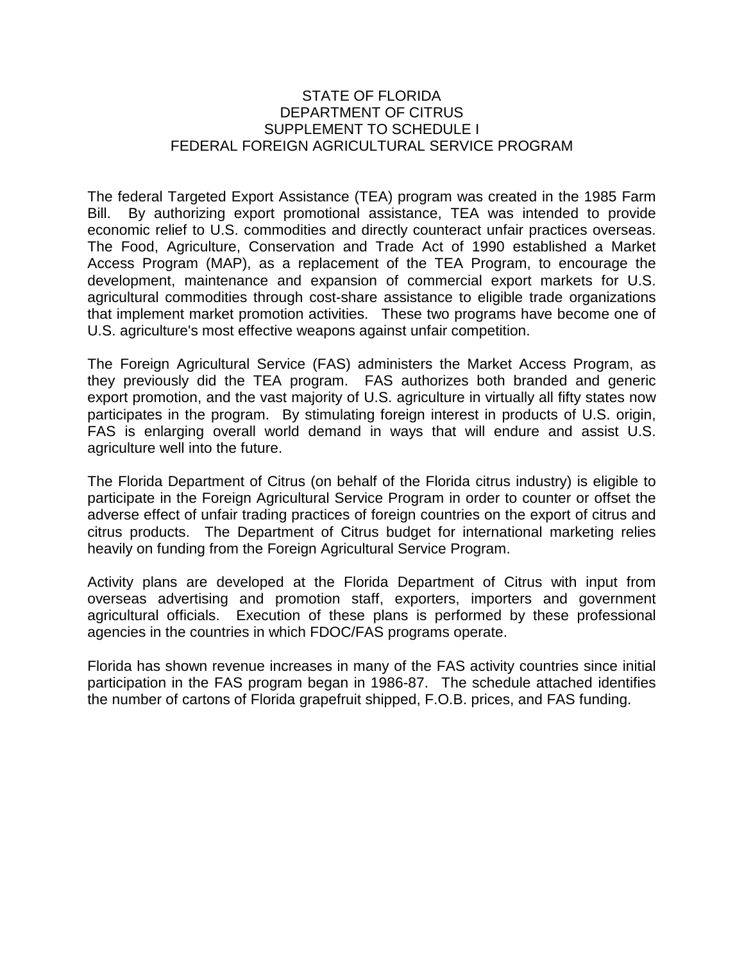### STATE OF FLORIDA DEPARTMENT OF CITRUS SUPPLEMENT TO SCHEDULE I FEDERAL FOREIGN AGRICULTURAL SERVICE PROGRAM

The federal Targeted Export Assistance (TEA) program was created in the 1985 Farm Bill. By authorizing export promotional assistance, TEA was intended to provide economic relief to U.S. commodities and directly counteract unfair practices overseas. The Food, Agriculture, Conservation and Trade Act of 1990 established a Market Access Program (MAP), as a replacement of the TEA Program, to encourage the development, maintenance and expansion of commercial export markets for U.S. agricultural commodities through cost-share assistance to eligible trade organizations that implement market promotion activities. These two programs have become one of U.S. agriculture's most effective weapons against unfair competition.

The Foreign Agricultural Service (FAS) administers the Market Access Program, as they previously did the TEA program. FAS authorizes both branded and generic export promotion, and the vast majority of U.S. agriculture in virtually all fifty states now participates in the program. By stimulating foreign interest in products of U.S. origin, FAS is enlarging overall world demand in ways that will endure and assist U.S. agriculture well into the future.

The Florida Department of Citrus (on behalf of the Florida citrus industry) is eligible to participate in the Foreign Agricultural Service Program in order to counter or offset the adverse effect of unfair trading practices of foreign countries on the export of citrus and citrus products. The Department of Citrus budget for international marketing relies heavily on funding from the Foreign Agricultural Service Program.

Activity plans are developed at the Florida Department of Citrus with input from overseas advertising and promotion staff, exporters, importers and government agricultural officials. Execution of these plans is performed by these professional agencies in the countries in which FDOC/FAS programs operate.

Florida has shown revenue increases in many of the FAS activity countries since initial participation in the FAS program began in 1986-87. The schedule attached identifies the number of cartons of Florida grapefruit shipped, F.O.B. prices, and FAS funding.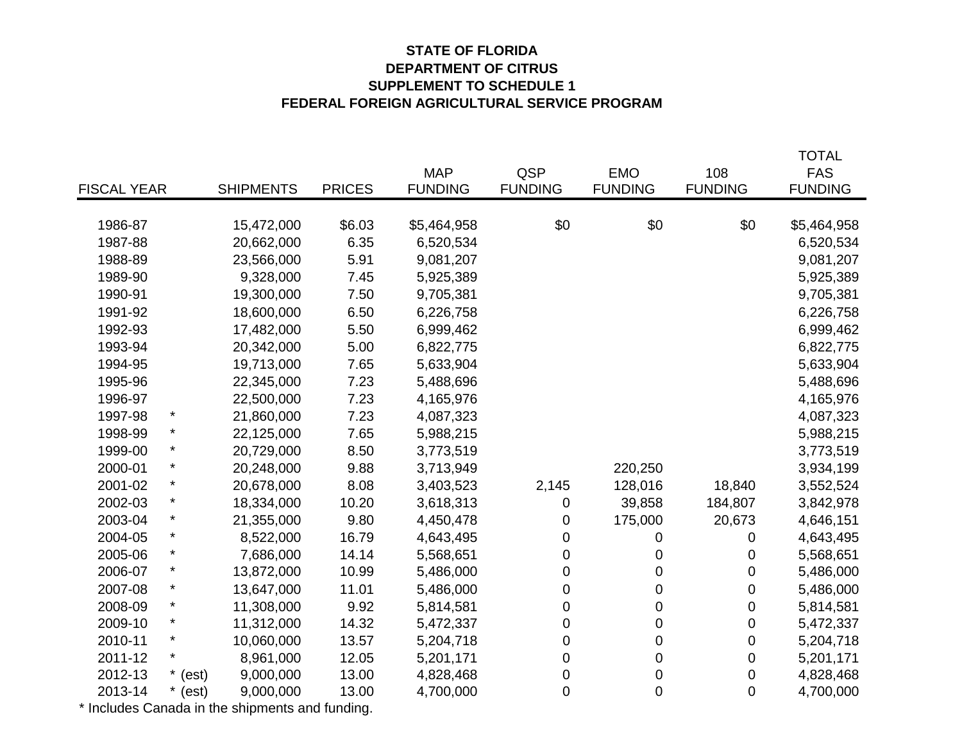## **STATE OF FLORIDA DEPARTMENT OF CITRUS SUPPLEMENT TO SCHEDULE 1 FEDERAL FOREIGN AGRICULTURAL SERVICE PROGRAM**

|                    |            |                  |               |                |                  |                  |                | <b>TOTAL</b>   |
|--------------------|------------|------------------|---------------|----------------|------------------|------------------|----------------|----------------|
|                    |            |                  |               | <b>MAP</b>     | QSP              | <b>EMO</b>       | 108            | <b>FAS</b>     |
| <b>FISCAL YEAR</b> |            | <b>SHIPMENTS</b> | <b>PRICES</b> | <b>FUNDING</b> | <b>FUNDING</b>   | <b>FUNDING</b>   | <b>FUNDING</b> | <b>FUNDING</b> |
|                    |            |                  |               |                |                  |                  |                |                |
| 1986-87            |            | 15,472,000       | \$6.03        | \$5,464,958    | \$0              | \$0              | \$0            | \$5,464,958    |
| 1987-88            |            | 20,662,000       | 6.35          | 6,520,534      |                  |                  |                | 6,520,534      |
| 1988-89            |            | 23,566,000       | 5.91          | 9,081,207      |                  |                  |                | 9,081,207      |
| 1989-90            |            | 9,328,000        | 7.45          | 5,925,389      |                  |                  |                | 5,925,389      |
| 1990-91            |            | 19,300,000       | 7.50          | 9,705,381      |                  |                  |                | 9,705,381      |
| 1991-92            |            | 18,600,000       | 6.50          | 6,226,758      |                  |                  |                | 6,226,758      |
| 1992-93            |            | 17,482,000       | 5.50          | 6,999,462      |                  |                  |                | 6,999,462      |
| 1993-94            |            | 20,342,000       | 5.00          | 6,822,775      |                  |                  |                | 6,822,775      |
| 1994-95            |            | 19,713,000       | 7.65          | 5,633,904      |                  |                  |                | 5,633,904      |
| 1995-96            |            | 22,345,000       | 7.23          | 5,488,696      |                  |                  |                | 5,488,696      |
| 1996-97            |            | 22,500,000       | 7.23          | 4,165,976      |                  |                  |                | 4,165,976      |
| 1997-98            |            | 21,860,000       | 7.23          | 4,087,323      |                  |                  |                | 4,087,323      |
| 1998-99            |            | 22,125,000       | 7.65          | 5,988,215      |                  |                  |                | 5,988,215      |
| 1999-00            | $\star$    | 20,729,000       | 8.50          | 3,773,519      |                  |                  |                | 3,773,519      |
| 2000-01            | $\star$    | 20,248,000       | 9.88          | 3,713,949      |                  | 220,250          |                | 3,934,199      |
| 2001-02            | $^{\star}$ | 20,678,000       | 8.08          | 3,403,523      | 2,145            | 128,016          | 18,840         | 3,552,524      |
| 2002-03            | $\star$    | 18,334,000       | 10.20         | 3,618,313      | 0                | 39,858           | 184,807        | 3,842,978      |
| 2003-04            | $\star$    | 21,355,000       | 9.80          | 4,450,478      | 0                | 175,000          | 20,673         | 4,646,151      |
| 2004-05            | $\star$    | 8,522,000        | 16.79         | 4,643,495      | $\pmb{0}$        | 0                | 0              | 4,643,495      |
| 2005-06            | $\star$    | 7,686,000        | 14.14         | 5,568,651      | $\pmb{0}$        | 0                | 0              | 5,568,651      |
| 2006-07            | $\ast$     | 13,872,000       | 10.99         | 5,486,000      | 0                | $\mathbf 0$      | 0              | 5,486,000      |
| 2007-08            | $^{\star}$ | 13,647,000       | 11.01         | 5,486,000      | $\pmb{0}$        | $\pmb{0}$        | $\mathbf 0$    | 5,486,000      |
| 2008-09            | $\star$    | 11,308,000       | 9.92          | 5,814,581      | $\pmb{0}$        | $\mathbf 0$      | 0              | 5,814,581      |
| 2009-10            | $\ast$     | 11,312,000       | 14.32         | 5,472,337      | 0                | $\mathbf 0$      | 0              | 5,472,337      |
| 2010-11            | $\star$    | 10,060,000       | 13.57         | 5,204,718      | $\pmb{0}$        | $\pmb{0}$        | $\mathbf 0$    | 5,204,718      |
| 2011-12            | $\star$    | 8,961,000        | 12.05         | 5,201,171      | 0                | 0                | 0              | 5,201,171      |
| 2012-13            | $*$ (est)  | 9,000,000        | 13.00         | 4,828,468      | $\pmb{0}$        | $\boldsymbol{0}$ | 0              | 4,828,468      |
| 2013-14            | $*$ (est)  | 9,000,000        | 13.00         | 4,700,000      | $\boldsymbol{0}$ | $\mathbf 0$      | 0              | 4,700,000      |

\* Includes Canada in the shipments and funding.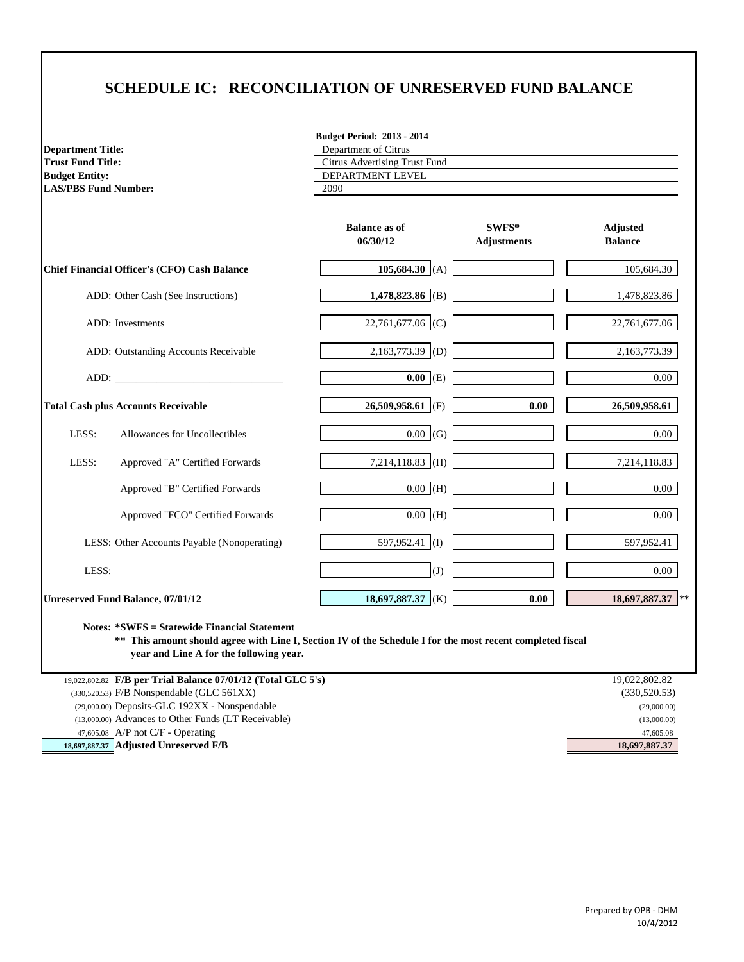# **SCHEDULE IC: RECONCILIATION OF UNRESERVED FUND BALANCE**

| <b>Department Title:</b>    |
|-----------------------------|
| <b>Trust Fund Title:</b>    |
| <b>Budget Entity:</b>       |
| <b>LAS/PBS Fund Number:</b> |

**Budget Period: 2013 - 2014**

| <b>Department Title:</b> | Department of Citrus          |
|--------------------------|-------------------------------|
| Trust Fund Title:        | Citrus Advertising Trust Fund |
| <b>Budget Entity:</b>    | DEPARTMENT LEVEL              |
| LAS/PBS Fund Number:     | 2090                          |
|                          |                               |

| 105,684.30 (A)<br>1,478,823.86 (B)<br>22,761,677.06 (C) | 105,684.30<br>1,478,823.86                 |
|---------------------------------------------------------|--------------------------------------------|
|                                                         |                                            |
|                                                         |                                            |
|                                                         | 22,761,677.06                              |
| $2,163,773.39$ (D)                                      | 2,163,773.39                               |
| $0.00$ (E)                                              | $0.00\,$                                   |
| 26,509,958.61 (F)<br>0.00                               | 26,509,958.61                              |
| $0.00$ (G)                                              | 0.00                                       |
| 7,214,118.83 (H)                                        | 7,214,118.83                               |
| $0.00$ (H)                                              | 0.00                                       |
| $\overline{0.00}$ (H)                                   | 0.00                                       |
|                                                         | 597,952.41                                 |
|                                                         | $0.00\,$                                   |
| 0.00                                                    | 18,697,887.37<br>$**$                      |
|                                                         | 597,952.41 (I)<br>(J)<br>18,697,887.37 (K) |

**Notes: \*SWFS = Statewide Financial Statement \*\* This amount should agree with Line I, Section IV of the Schedule I for the most recent completed fiscal** 

 **year and Line A for the following year.**

| 19,022,802.82 F/B per Trial Balance 07/01/12 (Total GLC 5's) | 19,022,802.82 |
|--------------------------------------------------------------|---------------|
| $(330,520.53)$ F/B Nonspendable (GLC 561XX)                  | (330, 520.53) |
| $(29,000.00)$ Deposits-GLC 192XX - Nonspendable              | (29,000.00)   |
| (13,000.00) Advances to Other Funds (LT Receivable)          | (13,000.00)   |
| 47,605.08 A/P not C/F - Operating                            | 47,605.08     |
| 18,697,887.37 Adjusted Unreserved F/B                        | 18,697,887.37 |